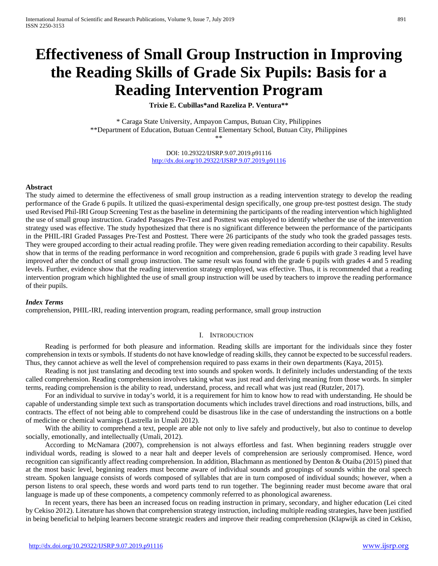# **Effectiveness of Small Group Instruction in Improving the Reading Skills of Grade Six Pupils: Basis for a Reading Intervention Program**

**Trixie E. Cubillas\*and Razeliza P. Ventura\*\***

\* Caraga State University, Ampayon Campus, Butuan City, Philippines \*\*Department of Education, Butuan Central Elementary School, Butuan City, Philippines

\*\*

DOI: 10.29322/IJSRP.9.07.2019.p91116 <http://dx.doi.org/10.29322/IJSRP.9.07.2019.p91116>

#### **Abstract**

The study aimed to determine the effectiveness of small group instruction as a reading intervention strategy to develop the reading performance of the Grade 6 pupils. It utilized the quasi-experimental design specifically, one group pre-test posttest design. The study used Revised Phil-IRI Group Screening Test as the baseline in determining the participants of the reading intervention which highlighted the use of small group instruction. Graded Passages Pre-Test and Posttest was employed to identify whether the use of the intervention strategy used was effective. The study hypothesized that there is no significant difference between the performance of the participants in the PHIL-IRI Graded Passages Pre-Test and Posttest. There were 26 participants of the study who took the graded passages tests. They were grouped according to their actual reading profile. They were given reading remediation according to their capability. Results show that in terms of the reading performance in word recognition and comprehension, grade 6 pupils with grade 3 reading level have improved after the conduct of small group instruction. The same result was found with the grade 6 pupils with grades 4 and 5 reading levels. Further, evidence show that the reading intervention strategy employed, was effective. Thus, it is recommended that a reading intervention program which highlighted the use of small group instruction will be used by teachers to improve the reading performance of their pupils.

#### *Index Terms*

comprehension, PHIL-IRI, reading intervention program, reading performance, small group instruction

# I. INTRODUCTION

Reading is performed for both pleasure and information. Reading skills are important for the individuals since they foster comprehension in texts or symbols. If students do not have knowledge of reading skills, they cannot be expected to be successful readers. Thus, they cannot achieve as well the level of comprehension required to pass exams in their own departments (Kaya, 2015).

Reading is not just translating and decoding text into sounds and spoken words. It definitely includes understanding of the texts called comprehension. Reading comprehension involves taking what was just read and deriving meaning from those words. In simpler terms, reading comprehension is the ability to read, understand, process, and recall what was just read (Rutzler, 2017).

For an individual to survive in today's world, it is a requirement for him to know how to read with understanding. He should be capable of understanding simple text such as transportation documents which includes travel directions and road instructions, bills, and contracts. The effect of not being able to comprehend could be disastrous like in the case of understanding the instructions on a bottle of medicine or chemical warnings (Lastrella in Umali 2012).

With the ability to comprehend a text, people are able not only to live safely and productively, but also to continue to develop socially, emotionally, and intellectually (Umali, 2012).

According to McNamara (2007), comprehension is not always effortless and fast. When beginning readers struggle over individual words, reading is slowed to a near halt and deeper levels of comprehension are seriously compromised. Hence, word recognition can significantly affect reading comprehension. In addition, Blachmann as mentioned by Denton & Otaiba (2015) pined that at the most basic level, beginning readers must become aware of individual sounds and groupings of sounds within the oral speech stream. Spoken language consists of words composed of syllables that are in turn composed of individual sounds; however, when a person listens to oral speech, these words and word parts tend to run together. The beginning reader must become aware that oral language is made up of these components, a competency commonly referred to as phonological awareness.

In recent years, there has been an increased focus on reading instruction in primary, secondary, and higher education (Lei cited by Cekiso 2012). Literature has shown that comprehension strategy instruction, including multiple reading strategies, have been justified in being beneficial to helping learners become strategic readers and improve their reading comprehension (Klapwijk as cited in Cekiso,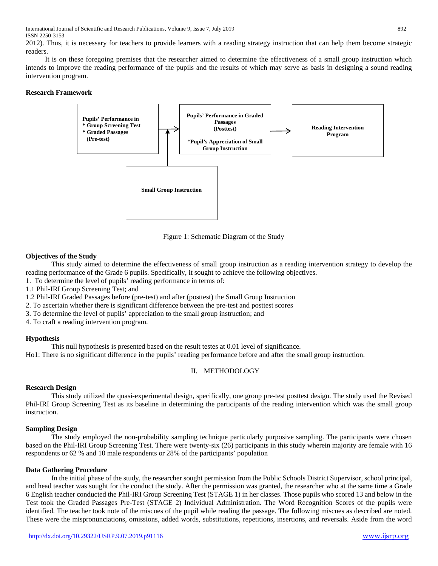International Journal of Scientific and Research Publications, Volume 9, Issue 7, July 2019 892 ISSN 2250-3153

2012). Thus, it is necessary for teachers to provide learners with a reading strategy instruction that can help them become strategic readers.

It is on these foregoing premises that the researcher aimed to determine the effectiveness of a small group instruction which intends to improve the reading performance of the pupils and the results of which may serve as basis in designing a sound reading intervention program.

# **Research Framework**



Figure 1: Schematic Diagram of the Study

# **Objectives of the Study**

This study aimed to determine the effectiveness of small group instruction as a reading intervention strategy to develop the reading performance of the Grade 6 pupils. Specifically, it sought to achieve the following objectives.

- 1. To determine the level of pupils' reading performance in terms of:
- 1.1 Phil-IRI Group Screening Test; and

1.2 Phil-IRI Graded Passages before (pre-test) and after (posttest) the Small Group Instruction

- 2. To ascertain whether there is significant difference between the pre-test and posttest scores
- 3. To determine the level of pupils' appreciation to the small group instruction; and
- 4. To craft a reading intervention program.

# **Hypothesis**

This null hypothesis is presented based on the result testes at 0.01 level of significance. Ho1: There is no significant difference in the pupils' reading performance before and after the small group instruction.

# II. METHODOLOGY

# **Research Design**

This study utilized the quasi-experimental design, specifically, one group pre-test posttest design. The study used the Revised Phil-IRI Group Screening Test as its baseline in determining the participants of the reading intervention which was the small group instruction.

# **Sampling Design**

The study employed the non-probability sampling technique particularly purposive sampling. The participants were chosen based on the Phil-IRI Group Screening Test. There were twenty-six (26) participants in this study wherein majority are female with 16 respondents or 62 % and 10 male respondents or 28% of the participants' population

# **Data Gathering Procedure**

In the initial phase of the study, the researcher sought permission from the Public Schools District Supervisor, school principal, and head teacher was sought for the conduct the study. After the permission was granted, the researcher who at the same time a Grade 6 English teacher conducted the Phil-IRI Group Screening Test (STAGE 1) in her classes. Those pupils who scored 13 and below in the Test took the Graded Passages Pre-Test (STAGE 2) Individual Administration. The Word Recognition Scores of the pupils were identified. The teacher took note of the miscues of the pupil while reading the passage. The following miscues as described are noted. These were the mispronunciations, omissions, added words, substitutions, repetitions, insertions, and reversals. Aside from the word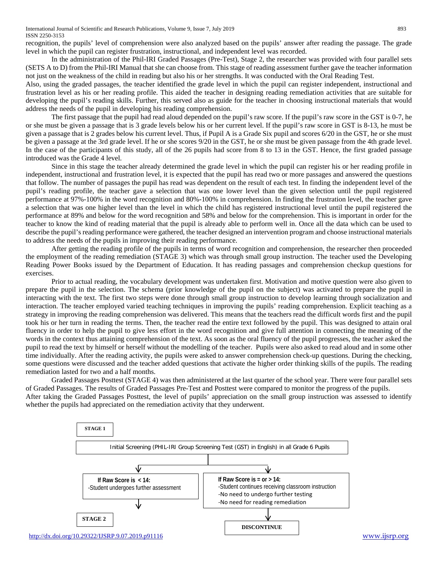recognition, the pupils' level of comprehension were also analyzed based on the pupils' answer after reading the passage. The grade level in which the pupil can register frustration, instructional, and independent level was recorded.

In the administration of the Phil-IRI Graded Passages (Pre-Test), Stage 2, the researcher was provided with four parallel sets (SETS A to D) from the Phil-IRI Manual that she can choose from. This stage of reading assessment further gave the teacher information not just on the weakness of the child in reading but also his or her strengths. It was conducted with the Oral Reading Test.

Also, using the graded passages, the teacher identified the grade level in which the pupil can register independent, instructional and frustration level as his or her reading profile. This aided the teacher in designing reading remediation activities that are suitable for developing the pupil's reading skills. Further, this served also as guide for the teacher in choosing instructional materials that would address the needs of the pupil in developing his reading comprehension.

The first passage that the pupil had read aloud depended on the pupil's raw score. If the pupil's raw score in the GST is 0-7, he or she must be given a passage that is 3 grade levels below his or her current level. If the pupil's raw score in GST is 8-13, he must be given a passage that is 2 grades below his current level. Thus, if Pupil A is a Grade Six pupil and scores 6/20 in the GST, he or she must be given a passage at the 3rd grade level. If he or she scores 9/20 in the GST, he or she must be given passage from the 4th grade level. In the case of the participants of this study, all of the 26 pupils had score from 8 to 13 in the GST. Hence, the first graded passage introduced was the Grade 4 level.

Since in this stage the teacher already determined the grade level in which the pupil can register his or her reading profile in independent, instructional and frustration level, it is expected that the pupil has read two or more passages and answered the questions that follow. The number of passages the pupil has read was dependent on the result of each test. In finding the independent level of the pupil's reading profile, the teacher gave a selection that was one lower level than the given selection until the pupil registered performance at 97%-100% in the word recognition and 80%-100% in comprehension. In finding the frustration level, the teacher gave a selection that was one higher level than the level in which the child has registered instructional level until the pupil registered the performance at 89% and below for the word recognition and 58% and below for the comprehension. This is important in order for the teacher to know the kind of reading material that the pupil is already able to perform well in. Once all the data which can be used to describe the pupil's reading performance were gathered, the teacher designed an intervention program and choose instructional materials to address the needs of the pupils in improving their reading performance.

After getting the reading profile of the pupils in terms of word recognition and comprehension, the researcher then proceeded the employment of the reading remediation (STAGE 3) which was through small group instruction. The teacher used the Developing Reading Power Books issued by the Department of Education. It has reading passages and comprehension checkup questions for exercises.

Prior to actual reading, the vocabulary development was undertaken first. Motivation and motive question were also given to prepare the pupil in the selection. The schema (prior knowledge of the pupil on the subject) was activated to prepare the pupil in interacting with the text. The first two steps were done through small group instruction to develop learning through socialization and interaction. The teacher employed varied teaching techniques in improving the pupils' reading comprehension. Explicit teaching as a strategy in improving the reading comprehension was delivered. This means that the teachers read the difficult words first and the pupil took his or her turn in reading the terms. Then, the teacher read the entire text followed by the pupil. This was designed to attain oral fluency in order to help the pupil to give less effort in the word recognition and give full attention in connecting the meaning of the words in the context thus attaining comprehension of the text. As soon as the oral fluency of the pupil progresses, the teacher asked the pupil to read the text by himself or herself without the modelling of the teacher. Pupils were also asked to read aloud and in some other time individually. After the reading activity, the pupils were asked to answer comprehension check-up questions. During the checking, some questions were discussed and the teacher added questions that activate the higher order thinking skills of the pupils. The reading remediation lasted for two and a half months.

Graded Passages Posttest (STAGE 4) was then administered at the last quarter of the school year. There were four parallel sets of Graded Passages. The results of Graded Passages Pre-Test and Posttest were compared to monitor the progress of the pupils. After taking the Graded Passages Posttest, the level of pupils' appreciation on the small group instruction was assessed to identify whether the pupils had appreciated on the remediation activity that they underwent.

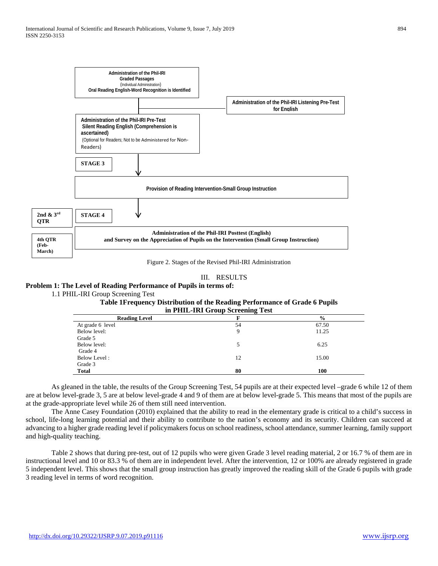

Figure 2. Stages of the Revised Phil-IRI Administration

# III. RESULTS

# **Problem 1: The Level of Reading Performance of Pupils in terms of:**

#### 1.1 PHIL-IRI Group Screening Test

# **Table 1Frequency Distribution of the Reading Performance of Grade 6 Pupils**

|                      | III I HILI-INI GIUUD SCIEEIIIIE TESU |       |
|----------------------|--------------------------------------|-------|
| <b>Reading Level</b> | F                                    | $\%$  |
| At grade 6 level     | 54                                   | 67.50 |
| Below level:         | 9                                    | 11.25 |
| Grade 5              |                                      |       |
| Below level:         |                                      | 6.25  |
| Grade 4              |                                      |       |
| Below Level:         | 12                                   | 15.00 |
| Grade 3              |                                      |       |
| <b>Total</b>         | 80                                   | 100   |

**in PHIL-IRI Group Screening Test**

As gleaned in the table, the results of the Group Screening Test, 54 pupils are at their expected level –grade 6 while 12 of them are at below level-grade 3, 5 are at below level-grade 4 and 9 of them are at below level-grade 5. This means that most of the pupils are at the grade-appropriate level while 26 of them still need intervention.

The Anne Casey Foundation (2010) explained that the ability to read in the elementary grade is critical to a child's success in school, life-long learning potential and their ability to contribute to the nation's economy and its security. Children can succeed at advancing to a higher grade reading level if policymakers focus on school readiness, school attendance, summer learning, family support and high-quality teaching.

Table 2 shows that during pre-test, out of 12 pupils who were given Grade 3 level reading material, 2 or 16.7 % of them are in instructional level and 10 or 83.3 % of them are in independent level. After the intervention, 12 or 100% are already registered in grade 5 independent level. This shows that the small group instruction has greatly improved the reading skill of the Grade 6 pupils with grade 3 reading level in terms of word recognition.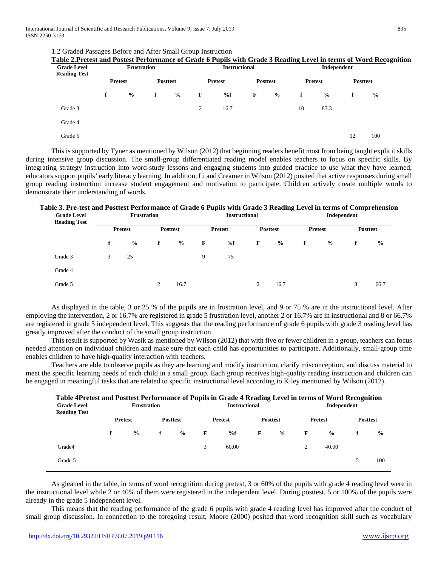|                                           |                    |                |   |                 |   |                      |   | Table 2.Pretest and Postest Performance of Grade 6 Pupils with Grade 3 Reading Level in terms of Word Recognition |    |                |    |                 |  |  |  |
|-------------------------------------------|--------------------|----------------|---|-----------------|---|----------------------|---|-------------------------------------------------------------------------------------------------------------------|----|----------------|----|-----------------|--|--|--|
| <b>Grade Level</b><br><b>Reading Test</b> | <b>Frustration</b> |                |   |                 |   | <b>Instructional</b> |   |                                                                                                                   |    |                |    | Independent     |  |  |  |
|                                           |                    | <b>Pretest</b> |   | <b>Posttest</b> |   | <b>Pretest</b>       |   | <b>Posttest</b>                                                                                                   |    | <b>Pretest</b> |    | <b>Posttest</b> |  |  |  |
|                                           |                    | $\frac{0}{0}$  | f | $\frac{6}{9}$   | F | $\%$ f               | F | $\frac{0}{0}$                                                                                                     | f  | $\frac{6}{9}$  |    | $\frac{6}{6}$   |  |  |  |
| Grade 3                                   |                    |                |   |                 |   | 16.7                 |   |                                                                                                                   | 10 | 83.3           |    |                 |  |  |  |
| Grade 4                                   |                    |                |   |                 |   |                      |   |                                                                                                                   |    |                |    |                 |  |  |  |
| Grade 5                                   |                    |                |   |                 |   |                      |   |                                                                                                                   |    |                | 12 | 100             |  |  |  |

1.2 Graded Passages Before and After Small Group Instruction

This is supported by Tyner as mentioned by Wilson (2012) that beginning readers benefit most from being taught explicit skills during intensive group discussion. The small-group differentiated reading model enables teachers to focus on specific skills. By integrating strategy instruction into word-study lessons and engaging students into guided practice to use what they have learned, educators support pupils' early literacy learning. In addition, Li and Creamer in Wilson (2012) posited that active responses during small group reading instruction increase student engagement and motivation to participate. Children actively create multiple words to demonstrate their understanding of words.

# **Table 3. Pre-test and Posttest Performance of Grade 6 Pupils with Grade 3 Reading Level in terms of Comprehension**

| <b>Grade Level</b><br><b>Reading Test</b> |   | <b>Frustration</b> |   |                 |   | <b>Instructional</b> |                |                 |   | Independent    |   |                 |
|-------------------------------------------|---|--------------------|---|-----------------|---|----------------------|----------------|-----------------|---|----------------|---|-----------------|
|                                           |   | <b>Pretest</b>     |   | <b>Posttest</b> |   | <b>Pretest</b>       |                | <b>Posttest</b> |   | <b>Pretest</b> |   | <b>Posttest</b> |
|                                           | ₽ | $\frac{0}{0}$      | f | $\frac{6}{6}$   | F | %f                   | F              | $\frac{0}{0}$   | f | $\frac{1}{2}$  | f | $\frac{6}{9}$   |
| Grade 3                                   | 3 | 25                 |   |                 | 9 | 75                   |                |                 |   |                |   |                 |
| Grade 4                                   |   |                    |   |                 |   |                      |                |                 |   |                |   |                 |
| Grade 5                                   |   |                    | 2 | 16.7            |   |                      | $\overline{2}$ | 16.7            |   |                | 8 | 66.7            |

As displayed in the table, 3 or 25 % of the pupils are in frustration level, and 9 or 75 % are in the instructional level. After employing the intervention, 2 or 16.7% are registered in grade 5 frustration level, another 2 or 16.7% are in instructional and 8 or 66.7% are registered in grade 5 independent level. This suggests that the reading performance of grade 6 pupils with grade 3 reading level has greatly improved after the conduct of the small group instruction.

This result is supported by Wasik as mentioned by Wilson (2012) that with five or fewer children in a group, teachers can focus needed attention on individual children and make sure that each child has opportunities to participate. Additionally, small-group time enables children to have high-quality interaction with teachers.

Teachers are able to observe pupils as they are learning and modify instruction, clarify misconception, and discuss material to meet the specific learning needs of each child in a small group. Each group receives high-quality reading instruction and children can be engaged in meaningful tasks that are related to specific instructional level according to Kiley mentioned by Wilson (2012).

| <b>Grade Level</b><br><b>Reading Test</b> |   | <b>Frustration</b> |   |                 |   | <b>Instructional</b> |   |                 |                    | Independent    |                 |               |  |  |
|-------------------------------------------|---|--------------------|---|-----------------|---|----------------------|---|-----------------|--------------------|----------------|-----------------|---------------|--|--|
|                                           |   | Pretest            |   | <b>Posttest</b> |   | <b>Pretest</b>       |   | <b>Posttest</b> |                    | <b>Pretest</b> | <b>Posttest</b> |               |  |  |
|                                           | ₽ | $\frac{6}{6}$      | f | $\%$            | F | %f                   | F | $\frac{0}{0}$   | F                  | $\frac{1}{2}$  |                 | $\frac{0}{0}$ |  |  |
| Grade4                                    |   |                    |   |                 | 3 | 60.00                |   |                 | $\mathcal{L}$<br>∠ | 40.00          |                 |               |  |  |
| Grade 5                                   |   |                    |   |                 |   |                      |   |                 |                    |                |                 | 100           |  |  |

As gleaned in the table, in terms of word recognition during pretest, 3 or 60% of the pupils with grade 4 reading level were in the instructional level while 2 or 40% of them were registered in the independent level. During posttest, 5 or 100% of the pupils were already in the grade 5 independent level.

This means that the reading performance of the grade 6 pupils with grade 4 reading level has improved after the conduct of small group discussion. In connection to the foregoing result, Moore (2000) posited that word recognition skill such as vocabulary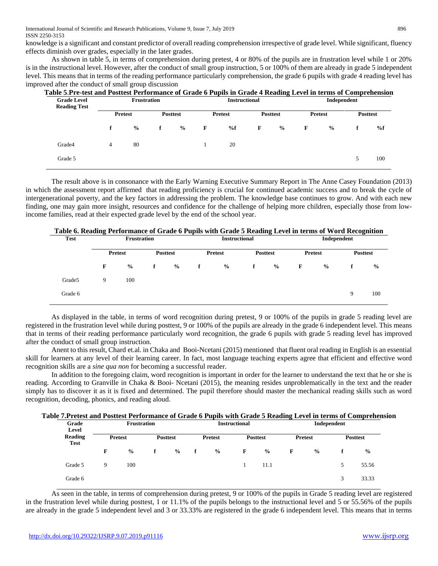knowledge is a significant and constant predictor of overall reading comprehension irrespective of grade level. While significant, fluency effects diminish over grades, especially in the later grades.

As shown in table 5, in terms of comprehension during pretest, 4 or 80% of the pupils are in frustration level while 1 or 20% is in the instructional level. However, after the conduct of small group instruction, 5 or 100% of them are already in grade 5 independent level. This means that in terms of the reading performance particularly comprehension, the grade 6 pupils with grade 4 reading level has improved after the conduct of small group discussion

| <b>Grade Level</b><br><b>Reading Test</b> |   | <b>Frustration</b> |                 |   | <b>Instructional</b> |   |                 | Table 5.Pre-test and Posttest Performance of Grade 6 Pupils in Grade 4 Reading Level in terms of Comprehension<br>Independent |                |  |                 |  |
|-------------------------------------------|---|--------------------|-----------------|---|----------------------|---|-----------------|-------------------------------------------------------------------------------------------------------------------------------|----------------|--|-----------------|--|
|                                           |   | <b>Pretest</b>     | <b>Posttest</b> |   | <b>Pretest</b>       |   | <b>Posttest</b> |                                                                                                                               | <b>Pretest</b> |  | <b>Posttest</b> |  |
|                                           |   | $\frac{0}{0}$      | $\frac{0}{0}$   | F | $\%f$                | F | $\frac{0}{0}$   | F                                                                                                                             | $\frac{0}{0}$  |  | %f              |  |
| Grade4                                    | 4 | 80                 |                 |   | 20                   |   |                 |                                                                                                                               |                |  |                 |  |
| Grade 5                                   |   |                    |                 |   |                      |   |                 |                                                                                                                               |                |  | 100             |  |

The result above is in consonance with the Early Warning Executive Summary Report in The Anne Casey Foundation (2013) in which the assessment report affirmed that reading proficiency is crucial for continued academic success and to break the cycle of intergenerational poverty, and the key factors in addressing the problem. The knowledge base continues to grow. And with each new finding, one may gain more insight, resources and confidence for the challenge of helping more children, especially those from lowincome families, read at their expected grade level by the end of the school year.

| <b>Test</b>        |   | <b>Frustration</b> |   |                 | <b>Instructional</b> |                |   |                 | Independent |                |   |                 |  |
|--------------------|---|--------------------|---|-----------------|----------------------|----------------|---|-----------------|-------------|----------------|---|-----------------|--|
|                    |   | <b>Pretest</b>     |   | <b>Posttest</b> |                      | <b>Pretest</b> |   | <b>Posttest</b> |             | <b>Pretest</b> |   | <b>Posttest</b> |  |
|                    | F | $\frac{0}{0}$      | f | $\frac{1}{2}$   | f                    | $\frac{6}{6}$  | f | $\frac{1}{2}$   | F           | $\frac{0}{0}$  | f | $\frac{1}{2}$   |  |
| Grade <sub>5</sub> | 9 | 100                |   |                 |                      |                |   |                 |             |                |   |                 |  |
| Grade 6            |   |                    |   |                 |                      |                |   |                 |             |                | 9 | 100             |  |

As displayed in the table, in terms of word recognition during pretest, 9 or 100% of the pupils in grade 5 reading level are registered in the frustration level while during posttest, 9 or 100% of the pupils are already in the grade 6 independent level. This means that in terms of their reading performance particularly word recognition, the grade 6 pupils with grade 5 reading level has improved after the conduct of small group instruction.

Anent to this result, Chard et.al. in Chaka and Booi-Ncetani (2015) mentioned that fluent oral reading in English is an essential skill for learners at any level of their learning career. In fact, most language teaching experts agree that efficient and effective word recognition skills are a *sine qua non* for becoming a successful reader.

In addition to the foregoing claim, word recognition is important in order for the learner to understand the text that he or she is reading. According to Granville in Chaka & Booi- Ncetani (2015), the meaning resides unproblematically in the text and the reader simply has to discover it as it is fixed and determined. The pupil therefore should master the mechanical reading skills such as word recognition, decoding, phonics, and reading aloud.

| Grade<br>Level         | <b>Frustration</b> |                |   |                 |   | <b>Instructional</b> |   | Independent     |   |                |   |                 |
|------------------------|--------------------|----------------|---|-----------------|---|----------------------|---|-----------------|---|----------------|---|-----------------|
| Reading<br><b>Test</b> |                    | <b>Pretest</b> |   | <b>Posttest</b> |   | <b>Pretest</b>       |   | <b>Posttest</b> |   | <b>Pretest</b> |   | <b>Posttest</b> |
|                        | F                  | $\frac{0}{0}$  | f | $\frac{0}{0}$   | f | $\frac{0}{0}$        | F | $\frac{0}{0}$   | F | $\frac{0}{0}$  | f | $\frac{0}{0}$   |
| Grade 5                | 9                  | 100            |   |                 |   |                      |   | 11.1            |   |                |   | 55.56           |
| Grade 6                |                    |                |   |                 |   |                      |   |                 |   |                | 3 | 33.33           |

As seen in the table, in terms of comprehension during pretest, 9 or 100% of the pupils in Grade 5 reading level are registered in the frustration level while during posttest, 1 or 11.1% of the pupils belongs to the instructional level and 5 or 55.56% of the pupils are already in the grade 5 independent level and 3 or 33.33% are registered in the grade 6 independent level. This means that in terms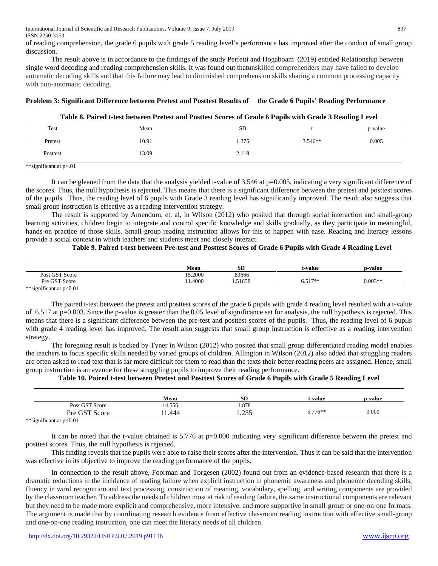International Journal of Scientific and Research Publications, Volume 9, Issue 7, July 2019 897 ISSN 2250-3153

of reading comprehension, the grade 6 pupils with grade 5 reading level's performance has improved after the conduct of small group discussion.

The result above is in accordance to the findings of the study Perfetti and Hogaboam (2019) entitled Relationship between single word decoding and reading comprehension skills. It was found out thatunskilled comprehenders may have failed to develop automatic decoding skills and that this failure may lead to diminished comprehension skills sharing a common processing capacity with non-automatic decoding.

# **Problem 3: Significant Difference between Pretest and Posttest Results of the Grade 6 Pupils' Reading Performance**

# **Table 8. Paired t-test between Pretest and Posttest Scores of Grade 6 Pupils with Grade 3 Reading Level**

| Test     | Mean  | <b>SD</b> |           | p-value |
|----------|-------|-----------|-----------|---------|
| Pretest  | 10.91 | 1.375     | $3.546**$ | 0.005   |
| Posttest | 13.09 | 2.119     |           |         |
|          |       |           |           |         |

\*\*significant at p<.01

It can be gleaned from the data that the analysis yielded t-value of  $3.546$  at  $p=0.005$ , indicating a very significant difference of the scores. Thus, the null hypothesis is rejected. This means that there is a significant difference between the pretest and posttest scores of the pupils. Thus, the reading level of 6 pupils with Grade 3 reading level has significantly improved. The result also suggests that small group instruction is effective as a reading intervention strategy.

The result is supported by Amendum, et. al, in Wilson (2012) who posited that through social interaction and small-group learning activities, children begin to integrate and control specific knowledge and skills gradually, as they participate in meaningful, hands-on practice of those skills. Small-group reading instruction allows for this to happen with ease. Reading and literacy lessons provide a social context in which teachers and students meet and closely interact.

# **Table 9. Paired t-test between Pre-test and Posttest Scores of Grade 6 Pupils with Grade 4 Reading Level**

|                | Mean    | <b>SD</b> | t-value   | p-value   |
|----------------|---------|-----------|-----------|-----------|
| Post GST Score | 15.2000 | .83666    |           |           |
| Pre GST Score  | 1.4000  | .51658    | $5.517**$ | $0.003**$ |

\*significant at  $p<0.01$ 

The paired t-test between the pretest and posttest scores of the grade 6 pupils with grade 4 reading level resulted with a t-value of 6.517 at p=0.003. Since the p-value is greater than the 0.05 level of significance set for analysis, the null hypothesis is rejected. This means that there is a significant difference between the pre-test and posttest scores of the pupils. Thus, the reading level of 6 pupils with grade 4 reading level has improved. The result also suggests that small group instruction is effective as a reading intervention strategy.

The foregoing result is backed by Tyner in Wilson (2012) who posited that small group differentiated reading model enables the teachers to focus specific skills needed by varied groups of children. Allington in Wilson (2012) also added that struggling readers are often asked to read text that is far more difficult for them to read than the texts their better reading peers are assigned. Hence, small group instruction is an avenue for these struggling pupils to improve their reading performance.

# **Table 10. Paired t-test between Pretest and Posttest Scores of Grade 6 Pupils with Grade 5 Reading Level**

|                | Mean   | <b>SD</b>    | t-value   | p-value |
|----------------|--------|--------------|-----------|---------|
| Post GST Score | 14.556 | 1.878        |           |         |
| Pre GST Score  | 1.444  | 225<br>ر د ب | $5.776**$ | 0.000   |

\*\*significant at p<0.01

It can be noted that the t-value obtained is  $5.776$  at  $p=0.000$  indicating very significant difference between the pretest and posttest scores. Thus, the null hypothesis is rejected.

This finding reveals that the pupils were able to raise their scores after the intervention. Thus it can be said that the intervention was effective in its objective to improve the reading performance of the pupils.

In connection to the result above, Foorman and Torgesen (2002) found out from an evidence-based research that there is a dramatic reductions in the incidence of reading failure when explicit instruction in phonemic awareness and phonemic decoding skills, fluency in word recognition and text processing, construction of meaning, vocabulary, spelling, and writing components are provided by the classroom teacher. To address the needs of children most at risk of reading failure, the same instructional components are relevant but they need to be made more explicit and comprehensive, more intensive, and more supportive in small-group or one-on-one formats. The argument is made that by coordinating research evidence from effective classroom reading instruction with effective small-group and one‐on‐one reading instruction, one can meet the literacy needs of all children.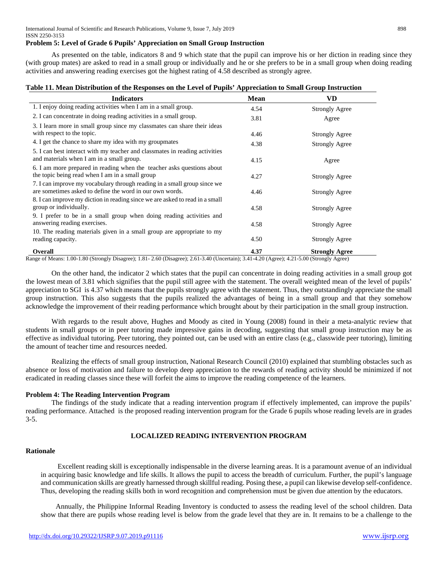# **Problem 5: Level of Grade 6 Pupils' Appreciation on Small Group Instruction**

As presented on the table, indicators 8 and 9 which state that the pupil can improve his or her diction in reading since they (with group mates) are asked to read in a small group or individually and he or she prefers to be in a small group when doing reading activities and answering reading exercises got the highest rating of 4.58 described as strongly agree.

| <b>Indicators</b>                                                                                                                    | <b>Mean</b> | VD                    |
|--------------------------------------------------------------------------------------------------------------------------------------|-------------|-----------------------|
| 1. I enjoy doing reading activities when I am in a small group.                                                                      | 4.54        | <b>Strongly Agree</b> |
| 2. I can concentrate in doing reading activities in a small group.                                                                   | 3.81        | Agree                 |
| 3. I learn more in small group since my classmates can share their ideas<br>with respect to the topic.                               | 4.46        | <b>Strongly Agree</b> |
| 4. I get the chance to share my idea with my groupmates                                                                              | 4.38        | <b>Strongly Agree</b> |
| 5. I can best interact with my teacher and classmates in reading activities<br>and materials when I am in a small group.             | 4.15        | Agree                 |
| 6. I am more prepared in reading when the teacher asks questions about<br>the topic being read when I am in a small group            | 4.27        | <b>Strongly Agree</b> |
| 7. I can improve my vocabulary through reading in a small group since we<br>are sometimes asked to define the word in our own words. | 4.46        | <b>Strongly Agree</b> |
| 8. I can improve my diction in reading since we are asked to read in a small<br>group or individually.                               | 4.58        | <b>Strongly Agree</b> |
| 9. I prefer to be in a small group when doing reading activities and<br>answering reading exercises.                                 | 4.58        | <b>Strongly Agree</b> |
| 10. The reading materials given in a small group are appropriate to my<br>reading capacity.                                          | 4.50        | <b>Strongly Agree</b> |
| <b>Overall</b>                                                                                                                       | 4.37        | <b>Strongly Agree</b> |

Range of Means: 1.00-1.80 (Strongly Disagree); 1.81- 2.60 (Disagree); 2.61-3.40 (Uncertain); 3.41-4.20 (Agree); 4.21-5.00 (Strongly Agree)

On the other hand, the indicator 2 which states that the pupil can concentrate in doing reading activities in a small group got the lowest mean of 3.81 which signifies that the pupil still agree with the statement. The overall weighted mean of the level of pupils' appreciation to SGI is 4.37 which means that the pupils strongly agree with the statement. Thus, they outstandingly appreciate the small group instruction. This also suggests that the pupils realized the advantages of being in a small group and that they somehow acknowledge the improvement of their reading performance which brought about by their participation in the small group instruction.

With regards to the result above, Hughes and Moody as cited in Young (2008) found in their a meta-analytic review that students in small groups or in peer tutoring made impressive gains in decoding, suggesting that small group instruction may be as effective as individual tutoring. Peer tutoring, they pointed out, can be used with an entire class (e.g., classwide peer tutoring), limiting the amount of teacher time and resources needed.

Realizing the effects of small group instruction, National Research Council (2010) explained that stumbling obstacles such as absence or loss of motivation and failure to develop deep appreciation to the rewards of reading activity should be minimized if not eradicated in reading classes since these will forfeit the aims to improve the reading competence of the learners.

# **Problem 4: The Reading Intervention Program**

The findings of the study indicate that a reading intervention program if effectively implemented, can improve the pupils' reading performance. Attached is the proposed reading intervention program for the Grade 6 pupils whose reading levels are in grades 3-5.

# **LOCALIZED READING INTERVENTION PROGRAM**

# **Rationale**

Excellent reading skill is exceptionally indispensable in the diverse learning areas. It is a paramount avenue of an individual in acquiring basic knowledge and life skills. It allows the pupil to access the breadth of curriculum. Further, the pupil's language and communication skills are greatly harnessed through skillful reading. Posing these, a pupil can likewise develop self-confidence. Thus, developing the reading skills both in word recognition and comprehension must be given due attention by the educators.

Annually, the Philippine Informal Reading Inventory is conducted to assess the reading level of the school children. Data show that there are pupils whose reading level is below from the grade level that they are in. It remains to be a challenge to the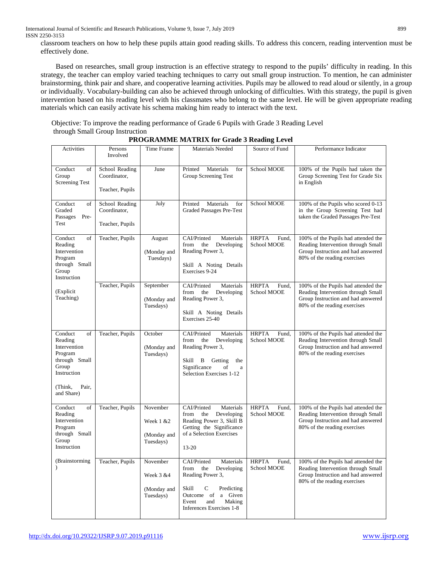International Journal of Scientific and Research Publications, Volume 9, Issue 7, July 2019 899 ISSN 2250-3153

classroom teachers on how to help these pupils attain good reading skills. To address this concern, reading intervention must be effectively done.

Based on researches, small group instruction is an effective strategy to respond to the pupils' difficulty in reading. In this strategy, the teacher can employ varied teaching techniques to carry out small group instruction. To mention, he can administer brainstorming, think pair and share, and cooperative learning activities. Pupils may be allowed to read aloud or silently, in a group or individually. Vocabulary-building can also be achieved through unlocking of difficulties. With this strategy, the pupil is given intervention based on his reading level with his classmates who belong to the same level. He will be given appropriate reading materials which can easily activate his schema making him ready to interact with the text.

Objective: To improve the reading performance of Grade 6 Pupils with Grade 3 Reading Level through Small Group Instruction

| Activities                                                                                                                     | Persons<br>Involved                               | Time Frame                                        | Materials Needed                                                                                                                                                                                          | Source of Fund                       | Performance Indicator                                                                                                                           |
|--------------------------------------------------------------------------------------------------------------------------------|---------------------------------------------------|---------------------------------------------------|-----------------------------------------------------------------------------------------------------------------------------------------------------------------------------------------------------------|--------------------------------------|-------------------------------------------------------------------------------------------------------------------------------------------------|
| Conduct<br>of<br>Group<br><b>Screening Test</b>                                                                                | School Reading<br>Coordinator,<br>Teacher, Pupils | June                                              | Printed<br>Materials<br>for<br>Group Screening Test                                                                                                                                                       | School MOOE                          | 100% of the Pupils had taken the<br>Group Screening Test for Grade Six<br>in English                                                            |
| Conduct<br>of<br>Graded<br>Passages Pre-<br>Test                                                                               | School Reading<br>Coordinator,<br>Teacher, Pupils | July                                              | Printed<br>Materials<br>for<br><b>Graded Passages Pre-Test</b>                                                                                                                                            | School MOOE                          | 100% of the Pupils who scored 0-13<br>in the Group Screening Test had<br>taken the Graded Passages Pre-Test                                     |
| Conduct<br>of<br>Reading<br>Intervention<br>Program<br>through Small<br>Group<br>Instruction                                   | Teacher, Pupils                                   | August<br>(Monday and<br>Tuesdays)                | CAI/Printed<br>Materials<br>from<br>the<br>Developing<br>Reading Power 3,<br>Skill A Noting Details<br>Exercises 9-24                                                                                     | <b>HRPTA</b><br>Fund,<br>School MOOE | 100% of the Pupils had attended the<br>Reading Intervention through Small<br>Group Instruction and had answered<br>80% of the reading exercises |
| (Explicit<br>Teaching)                                                                                                         | Teacher, Pupils                                   | September<br>(Monday and<br>Tuesdays)             | CAI/Printed<br>Materials<br>from<br>the<br>Developing<br>Reading Power 3,<br>Skill A Noting Details<br>Exercises 25-40                                                                                    | <b>HRPTA</b><br>Fund.<br>School MOOE | 100% of the Pupils had attended the<br>Reading Intervention through Small<br>Group Instruction and had answered<br>80% of the reading exercises |
| of<br>Conduct<br>Reading<br>Intervention<br>Program<br>through Small<br>Group<br>Instruction<br>(Think,<br>Pair.<br>and Share) | Teacher, Pupils                                   | October<br>(Monday and<br>Tuesdays)               | CAI/Printed<br>Materials<br>Developing<br>from the<br>Reading Power 3,<br>the<br>Skill B<br>Getting<br>Significance<br>$_{\mathrm{of}}$<br>$\rm{a}$<br>Selection Exercises 1-12                           | <b>HRPTA</b><br>Fund,<br>School MOOE | 100% of the Pupils had attended the<br>Reading Intervention through Small<br>Group Instruction and had answered<br>80% of the reading exercises |
| Conduct<br>of<br>Reading<br>Intervention<br>Program<br>through Small<br>Group<br>Instruction                                   | Teacher, Pupils                                   | November<br>Week 1 &2<br>(Monday and<br>Tuesdays) | CAI/Printed<br>Materials<br>Developing<br>from<br>the<br>Reading Power 3, Skill B<br>Getting the Significance<br>of a Selection Exercises<br>13-20                                                        | <b>HRPTA</b><br>Fund,<br>School MOOE | 100% of the Pupils had attended the<br>Reading Intervention through Small<br>Group Instruction and had answered<br>80% of the reading exercises |
| (Brainstorming<br>$\lambda$                                                                                                    | Teacher, Pupils                                   | November<br>Week 3 &4<br>(Monday and<br>Tuesdays) | CAI/Printed<br>Materials<br>from the<br>Developing<br>Reading Power 3,<br>Skill<br>$\mathbf C$<br>Predicting<br>Given<br>Outcome of<br>$\mathbf{a}$<br>Event<br>and<br>Making<br>Inferences Exercises 1-8 | <b>HRPTA</b><br>Fund.<br>School MOOE | 100% of the Pupils had attended the<br>Reading Intervention through Small<br>Group Instruction and had answered<br>80% of the reading exercises |

**PROGRAMME MATRIX for Grade 3 Reading Level**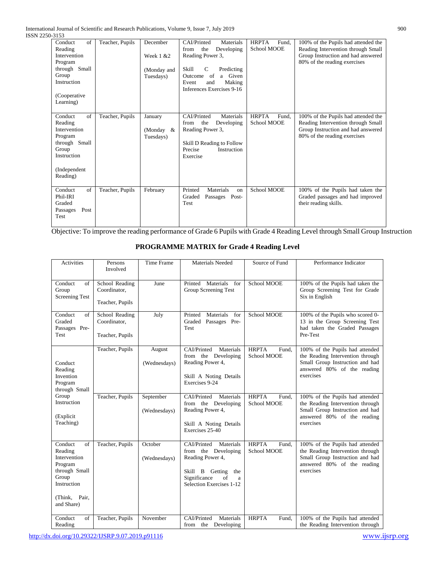| .                                                                                                                         |                 |                                                      |                                                                                                                                                                                                           |                                      |                                                                                                                                                 |
|---------------------------------------------------------------------------------------------------------------------------|-----------------|------------------------------------------------------|-----------------------------------------------------------------------------------------------------------------------------------------------------------------------------------------------------------|--------------------------------------|-------------------------------------------------------------------------------------------------------------------------------------------------|
| of<br>Conduct<br>Reading<br>Intervention<br>Program<br>through Small<br>Group<br>Instruction<br>(Cooperative)             | Teacher, Pupils | December<br>Week $1 & 2$<br>(Monday and<br>Tuesdays) | CAI/Printed<br>Materials<br>the<br>Developing<br>from<br>Reading Power 3,<br>Skill<br>$\mathcal{C}$<br>Predicting<br>Given<br>Outcome<br>-of<br>a.<br>Making<br>Event<br>and<br>Inferences Exercises 9-16 | <b>HRPTA</b><br>Fund.<br>School MOOE | 100% of the Pupils had attended the<br>Reading Intervention through Small<br>Group Instruction and had answered<br>80% of the reading exercises |
| Learning)                                                                                                                 |                 |                                                      |                                                                                                                                                                                                           |                                      |                                                                                                                                                 |
| of<br>Conduct<br>Reading<br>Intervention<br>Program<br>through Small<br>Group<br>Instruction<br>(Independent)<br>Reading) | Teacher, Pupils | January<br>(Monday)<br>&<br>Tuesdays)                | CAI/Printed<br>Materials<br>the<br>Developing<br>from<br>Reading Power 3,<br>Skill D Reading to Follow<br>Instruction<br>Precise<br>Exercise                                                              | <b>HRPTA</b><br>Fund.<br>School MOOE | 100% of the Pupils had attended the<br>Reading Intervention through Small<br>Group Instruction and had answered<br>80% of the reading exercises |
| of<br>Conduct<br>Phil-IRI<br>Graded<br>Post<br>Passages<br>Test                                                           | Teacher, Pupils | February                                             | Materials<br>Printed<br><sub>on</sub><br>Graded<br>Passages Post-<br><b>Test</b>                                                                                                                          | School MOOE                          | 100% of the Pupils had taken the<br>Graded passages and had improved<br>their reading skills.                                                   |

Objective: To improve the reading performance of Grade 6 Pupils with Grade 4 Reading Level through Small Group Instruction

| <b>Activities</b>                                                                                                           | Persons<br>Involved                               | <b>Time Frame</b>         | <b>Materials Needed</b>                                                                                                                              | Source of Fund                       | Performance Indicator                                                                                                                              |
|-----------------------------------------------------------------------------------------------------------------------------|---------------------------------------------------|---------------------------|------------------------------------------------------------------------------------------------------------------------------------------------------|--------------------------------------|----------------------------------------------------------------------------------------------------------------------------------------------------|
| Conduct<br>of<br>Group<br><b>Screening Test</b>                                                                             | School Reading<br>Coordinator,<br>Teacher, Pupils | June                      | Materials for<br>Printed<br>Group Screening Test                                                                                                     | School MOOE                          | 100% of the Pupils had taken the<br>Group Screening Test for Grade<br>Six in English                                                               |
| Conduct<br>of<br>Graded<br>Passages Pre-<br>Test                                                                            | School Reading<br>Coordinator,<br>Teacher, Pupils | July                      | for<br>Printed<br>Materials<br>Passages Pre-<br>Graded<br>Test                                                                                       | School MOOE                          | 100% of the Pupils who scored 0-<br>13 in the Group Screening Test<br>had taken the Graded Passages<br>Pre-Test                                    |
| Conduct<br>Reading<br>Invention<br>Program<br>through Small                                                                 | Teacher, Pupils                                   | August<br>(Wednesdays)    | CAI/Printed<br>Materials<br>from the Developing<br>Reading Power 4,<br>Skill A Noting Details<br>Exercises 9-24                                      | <b>HRPTA</b><br>Fund,<br>School MOOE | 100% of the Pupils had attended<br>the Reading Intervention through<br>Small Group Instruction and had<br>answered 80% of the reading<br>exercises |
| Group<br>Instruction<br>(Explicit)<br>Teaching)                                                                             | Teacher, Pupils                                   | September<br>(Wednesdays) | CAI/Printed<br>Materials<br>from the Developing<br>Reading Power 4,<br>Skill A Noting Details<br>Exercises 25-40                                     | <b>HRPTA</b><br>Fund,<br>School MOOE | 100% of the Pupils had attended<br>the Reading Intervention through<br>Small Group Instruction and had<br>answered 80% of the reading<br>exercises |
| Conduct<br>of<br>Reading<br>Intervention<br>Program<br>through Small<br>Group<br>Instruction<br>(Think, Pair,<br>and Share) | Teacher, Pupils                                   | October<br>(Wednesdays)   | CAI/Printed<br>Materials<br>from the Developing<br>Reading Power 4,<br>Skill B Getting<br>the<br>Significance<br>of<br>a<br>Selection Exercises 1-12 | <b>HRPTA</b><br>Fund.<br>School MOOE | 100% of the Pupils had attended<br>the Reading Intervention through<br>Small Group Instruction and had<br>answered 80% of the reading<br>exercises |
| $\sigma$ f<br>Conduct<br>Reading                                                                                            | Teacher, Pupils                                   | November                  | CAI/Printed<br>Materials<br>from the Developing                                                                                                      | <b>HRPTA</b><br>Fund.                | 100% of the Pupils had attended<br>the Reading Intervention through                                                                                |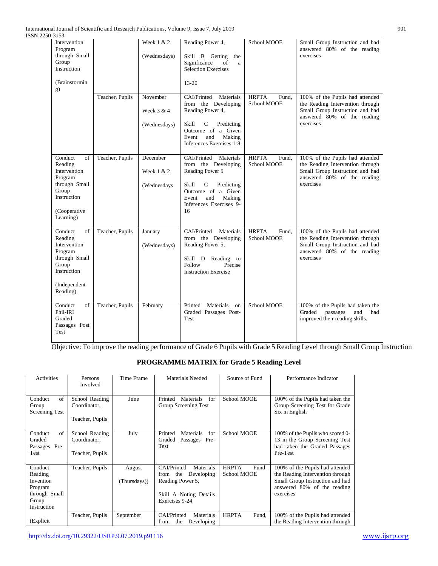ISSN 2250-3153

| Intervention<br>Program<br>through Small<br>Group<br>Instruction<br>(Brainstormin)<br>g)                                  |                 | Week 1 & 2<br>(Wednesdays)              | Reading Power 4,<br>Skill B Getting<br>the<br>Significance<br>οf<br>a<br><b>Selection Exercises</b><br>$13 - 20$                                                                | School MOOE                                 | Small Group Instruction and had<br>answered 80% of the reading<br>exercises                                                                        |
|---------------------------------------------------------------------------------------------------------------------------|-----------------|-----------------------------------------|---------------------------------------------------------------------------------------------------------------------------------------------------------------------------------|---------------------------------------------|----------------------------------------------------------------------------------------------------------------------------------------------------|
|                                                                                                                           | Teacher, Pupils | November<br>Week 3 & 4<br>(Wednesdays)  | Materials<br>CAI/Printed<br>from the Developing<br>Reading Power 4,<br>Skill<br>Predicting<br>C<br>Outcome of a Given<br>Event<br>Making<br>and<br>Inferences Exercises 1-8     | <b>HRPTA</b><br>Fund,<br><b>School MOOE</b> | 100% of the Pupils had attended<br>the Reading Intervention through<br>Small Group Instruction and had<br>answered 80% of the reading<br>exercises |
| Conduct<br>of<br>Reading<br>Intervention<br>Program<br>through Small<br>Group<br>Instruction<br>(Cooperative<br>Learning) | Teacher, Pupils | December<br>Week $1 & 2$<br>(Wednesdays | CAI/Printed<br>Materials<br>from the Developing<br>Reading Power 5<br>Skill<br>C<br>Predicting<br>Outcome of a Given<br>Making<br>Event<br>and<br>Inferences Exercises 9-<br>16 | <b>HRPTA</b><br>Fund,<br>School MOOE        | 100% of the Pupils had attended<br>the Reading Intervention through<br>Small Group Instruction and had<br>answered 80% of the reading<br>exercises |
| Conduct<br>of<br>Reading<br>Intervention<br>Program<br>through Small<br>Group<br>Instruction<br>(Independent<br>Reading)  | Teacher, Pupils | January<br>(Wednesdays)                 | Materials<br>CAI/Printed<br>from the Developing<br>Reading Power 5,<br>Skill D<br>Reading to<br>Follow<br>Precise<br><b>Instruction Exercise</b>                                | <b>HRPTA</b><br>Fund,<br><b>School MOOE</b> | 100% of the Pupils had attended<br>the Reading Intervention through<br>Small Group Instruction and had<br>answered 80% of the reading<br>exercises |
| Conduct<br>of<br>Phil-IRI<br>Graded<br>Passages Post<br>Test                                                              | Teacher, Pupils | February                                | Materials<br>Printed<br>on<br>Graded Passages Post-<br>Test                                                                                                                     | School MOOE                                 | 100% of the Pupils had taken the<br>Graded<br>passages<br>and<br>had<br>improved their reading skills.                                             |

Objective: To improve the reading performance of Grade 6 Pupils with Grade 5 Reading Level through Small Group Instruction

# **PROGRAMME MATRIX for Grade 5 Reading Level**

| Activities                                                                          | Persons<br>Involved                               | Time Frame             | Materials Needed                                                                                                   | Source of Fund                       | Performance Indicator                                                                                                                              |
|-------------------------------------------------------------------------------------|---------------------------------------------------|------------------------|--------------------------------------------------------------------------------------------------------------------|--------------------------------------|----------------------------------------------------------------------------------------------------------------------------------------------------|
| of<br>Conduct<br>Group<br>Screening Test                                            | School Reading<br>Coordinator,<br>Teacher, Pupils | June                   | for<br>Printed<br>Materials<br>Group Screening Test                                                                | School MOOE                          | 100% of the Pupils had taken the<br>Group Screening Test for Grade<br>Six in English                                                               |
| of<br>Conduct<br>Graded<br>Pre-<br>Passages<br>Test                                 | School Reading<br>Coordinator,<br>Teacher, Pupils | July                   | Printed<br>Materials<br>for<br>Graded<br>Passages<br>Pre-<br><b>Test</b>                                           | School MOOE                          | 100% of the Pupils who scored 0-<br>13 in the Group Screening Test<br>had taken the Graded Passages<br>Pre-Test                                    |
| Conduct<br>Reading<br>Invention<br>Program<br>through Small<br>Group<br>Instruction | Teacher, Pupils                                   | August<br>(Thursdays)) | CAI/Printed<br>Materials<br>Developing<br>from the<br>Reading Power 5,<br>Skill A Noting Details<br>Exercises 9-24 | <b>HRPTA</b><br>Fund,<br>School MOOE | 100% of the Pupils had attended<br>the Reading Intervention through<br>Small Group Instruction and had<br>answered 80% of the reading<br>exercises |
| (Explicit)                                                                          | Teacher, Pupils                                   | September              | Materials<br>CAI/Printed<br>Developing<br>from<br>the                                                              | <b>HRPTA</b><br>Fund,                | 100% of the Pupils had attended<br>the Reading Intervention through                                                                                |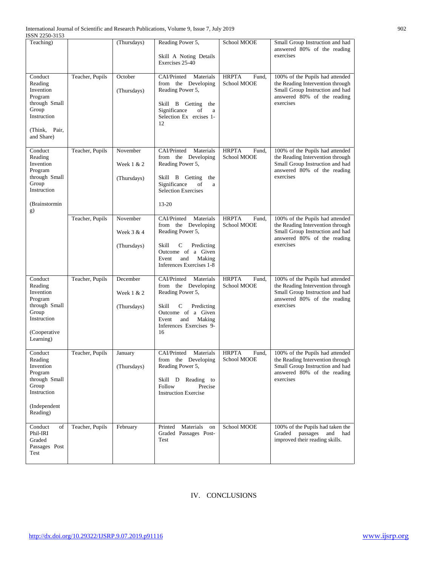| ISSN 2250-3153                                                                                                   |                 |                                       |                                                                                                                                                                                  |                                      |                                                                                                                                                    |
|------------------------------------------------------------------------------------------------------------------|-----------------|---------------------------------------|----------------------------------------------------------------------------------------------------------------------------------------------------------------------------------|--------------------------------------|----------------------------------------------------------------------------------------------------------------------------------------------------|
| Teaching)                                                                                                        |                 | (Thursdays)                           | Reading Power 5,                                                                                                                                                                 | School MOOE                          | Small Group Instruction and had<br>answered 80% of the reading                                                                                     |
|                                                                                                                  |                 |                                       | Skill A Noting Details<br>Exercises 25-40                                                                                                                                        |                                      | exercises                                                                                                                                          |
| Conduct<br>Reading<br>Invention<br>Program<br>through Small<br>Group<br>Instruction                              | Teacher, Pupils | October<br>(Thursdays)                | CAI/Printed<br>Materials<br>from the Developing<br>Reading Power 5,<br>Skill B Getting<br>the<br>Significance<br>of<br>a<br>Selection Ex ercises 1-<br>12                        | <b>HRPTA</b><br>Fund,<br>School MOOE | 100% of the Pupils had attended<br>the Reading Intervention through<br>Small Group Instruction and had<br>answered 80% of the reading<br>exercises |
| (Think, Pair,<br>and Share)                                                                                      |                 |                                       |                                                                                                                                                                                  |                                      |                                                                                                                                                    |
| Conduct<br>Reading<br>Invention<br>Program                                                                       | Teacher, Pupils | November<br>Week 1 & 2                | CAI/Printed<br>Materials<br>from the Developing<br>Reading Power 5,                                                                                                              | <b>HRPTA</b><br>Fund,<br>School MOOE | 100% of the Pupils had attended<br>the Reading Intervention through<br>Small Group Instruction and had<br>answered 80% of the reading              |
| through Small<br>Group<br>Instruction                                                                            |                 | (Thursdays)                           | Skill B Getting<br>the<br>Significance<br>of<br>a<br><b>Selection Exercises</b>                                                                                                  |                                      | exercises                                                                                                                                          |
| (Brainstormin)<br>g)                                                                                             |                 |                                       | $13 - 20$                                                                                                                                                                        |                                      |                                                                                                                                                    |
|                                                                                                                  | Teacher, Pupils | November<br>Week 3 & 4                | CAI/Printed<br>Materials<br>from the Developing<br>Reading Power 5,                                                                                                              | <b>HRPTA</b><br>Fund.<br>School MOOE | 100% of the Pupils had attended<br>the Reading Intervention through<br>Small Group Instruction and had<br>answered 80% of the reading              |
|                                                                                                                  |                 | (Thursdays)                           | Skill<br>Predicting<br>C<br>Outcome of a Given<br>Making<br>Event<br>and<br>Inferences Exercises 1-8                                                                             |                                      | exercises                                                                                                                                          |
| Conduct<br>Reading<br>Invention<br>Program<br>through Small<br>Group<br>Instruction<br>(Cooperative<br>Learning) | Teacher, Pupils | December<br>Week 1 & 2<br>(Thursdays) | CAI/Printed<br>Materials<br>from the Developing<br>Reading Power 5,<br>Skill<br>Predicting<br>C<br>Outcome of a Given<br>Making<br>Event<br>and<br>Inferences Exercises 9-<br>16 | <b>HRPTA</b><br>Fund,<br>School MOOE | 100% of the Pupils had attended<br>the Reading Intervention through<br>Small Group Instruction and had<br>answered 80% of the reading<br>exercises |
| Conduct<br>Reading<br>Invention<br>Program<br>through Small<br>Group<br>Instruction<br>(Independent<br>Reading)  | Teacher, Pupils | January<br>(Thursdays)                | CAI/Printed<br>Materials<br>from the Developing<br>Reading Power 5,<br>Skill D Reading to<br>Follow<br>Precise<br><b>Instruction Exercise</b>                                    | <b>HRPTA</b><br>Fund,<br>School MOOE | 100% of the Pupils had attended<br>the Reading Intervention through<br>Small Group Instruction and had<br>answered 80% of the reading<br>exercises |
| οf<br>Conduct<br>Phil-IRI<br>Graded<br>Passages Post<br>Test                                                     | Teacher, Pupils | February                              | Materials<br>Printed<br>on<br>Graded Passages Post-<br>Test                                                                                                                      | School MOOE                          | 100% of the Pupils had taken the<br>Graded<br>passages<br>and<br>had<br>improved their reading skills.                                             |

# IV. CONCLUSIONS